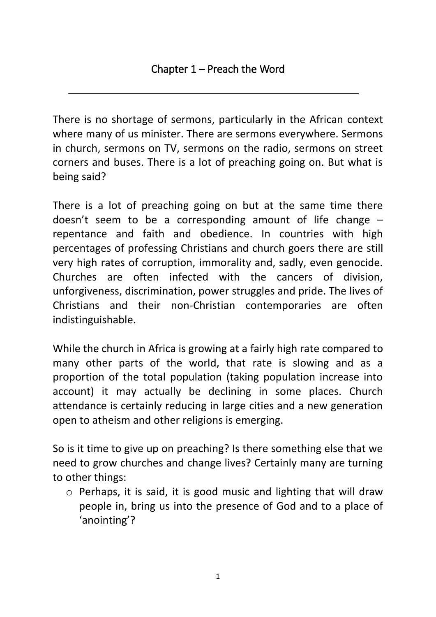There is no shortage of sermons, particularly in the African context where many of us minister. There are sermons everywhere. Sermons in church, sermons on TV, sermons on the radio, sermons on street corners and buses. There is a lot of preaching going on. But what is being said?

There is a lot of preaching going on but at the same time there doesn't seem to be a corresponding amount of life change – repentance and faith and obedience. In countries with high percentages of professing Christians and church goers there are still very high rates of corruption, immorality and, sadly, even genocide. Churches are often infected with the cancers of division, unforgiveness, discrimination, power struggles and pride. The lives of Christians and their non-Christian contemporaries are often indistinguishable.

While the church in Africa is growing at a fairly high rate compared to many other parts of the world, that rate is slowing and as a proportion of the total population (taking population increase into account) it may actually be declining in some places. Church attendance is certainly reducing in large cities and a new generation open to atheism and other religions is emerging.

So is it time to give up on preaching? Is there something else that we need to grow churches and change lives? Certainly many are turning to other things:

o Perhaps, it is said, it is good music and lighting that will draw people in, bring us into the presence of God and to a place of 'anointing'?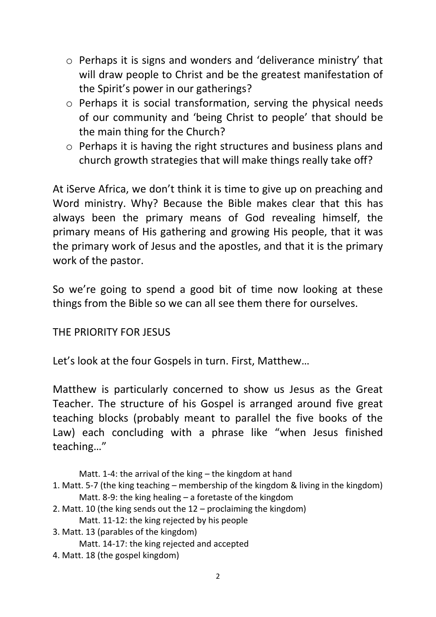- o Perhaps it is signs and wonders and 'deliverance ministry' that will draw people to Christ and be the greatest manifestation of the Spirit's power in our gatherings?
- o Perhaps it is social transformation, serving the physical needs of our community and 'being Christ to people' that should be the main thing for the Church?
- o Perhaps it is having the right structures and business plans and church growth strategies that will make things really take off?

At iServe Africa, we don't think it is time to give up on preaching and Word ministry. Why? Because the Bible makes clear that this has always been the primary means of God revealing himself, the primary means of His gathering and growing His people, that it was the primary work of Jesus and the apostles, and that it is the primary work of the pastor.

So we're going to spend a good bit of time now looking at these things from the Bible so we can all see them there for ourselves.

## THE PRIORITY FOR JESUS

Let's look at the four Gospels in turn. First, Matthew…

Matthew is particularly concerned to show us Jesus as the Great Teacher. The structure of his Gospel is arranged around five great teaching blocks (probably meant to parallel the five books of the Law) each concluding with a phrase like "when Jesus finished teaching…"

Matt. 1-4: the arrival of the king – the kingdom at hand

- 1. Matt. 5-7 (the king teaching membership of the kingdom & living in the kingdom) Matt. 8-9: the king healing – a foretaste of the kingdom
- 2. Matt. 10 (the king sends out the 12 proclaiming the kingdom) Matt. 11-12: the king rejected by his people
- 3. Matt. 13 (parables of the kingdom)

Matt. 14-17: the king rejected and accepted

4. Matt. 18 (the gospel kingdom)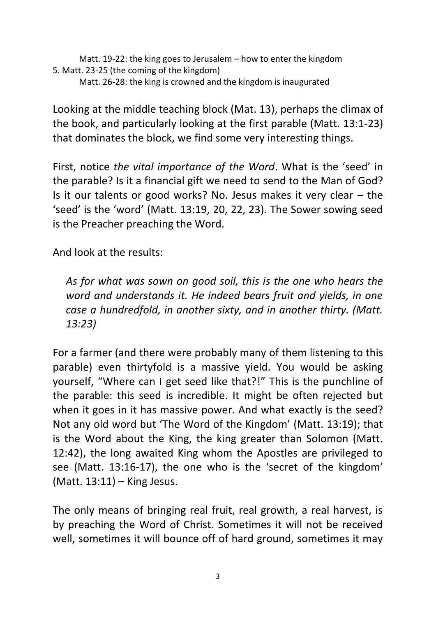Matt. 19-22: the king goes to Jerusalem – how to enter the kingdom 5. Matt. 23-25 (the coming of the kingdom) Matt. 26-28: the king is crowned and the kingdom is inaugurated

Looking at the middle teaching block (Mat. 13), perhaps the climax of the book, and particularly looking at the first parable (Matt. 13:1-23) that dominates the block, we find some very interesting things.

First, notice *the vital importance of the Word*. What is the 'seed' in the parable? Is it a financial gift we need to send to the Man of God? Is it our talents or good works? No. Jesus makes it very clear – the 'seed' is the 'word' (Matt. 13:19, 20, 22, 23). The Sower sowing seed is the Preacher preaching the Word.

And look at the results:

*As for what was sown on good soil, this is the one who hears the word and understands it. He indeed bears fruit and yields, in one case a hundredfold, in another sixty, and in another thirty. (Matt. 13:23)*

For a farmer (and there were probably many of them listening to this parable) even thirtyfold is a massive yield. You would be asking yourself, "Where can I get seed like that?!" This is the punchline of the parable: this seed is incredible. It might be often rejected but when it goes in it has massive power. And what exactly is the seed? Not any old word but 'The Word of the Kingdom' (Matt. 13:19); that is the Word about the King, the king greater than Solomon (Matt. 12:42), the long awaited King whom the Apostles are privileged to see (Matt. 13:16-17), the one who is the 'secret of the kingdom' (Matt. 13:11) – King Jesus.

The only means of bringing real fruit, real growth, a real harvest, is by preaching the Word of Christ. Sometimes it will not be received well, sometimes it will bounce off of hard ground, sometimes it may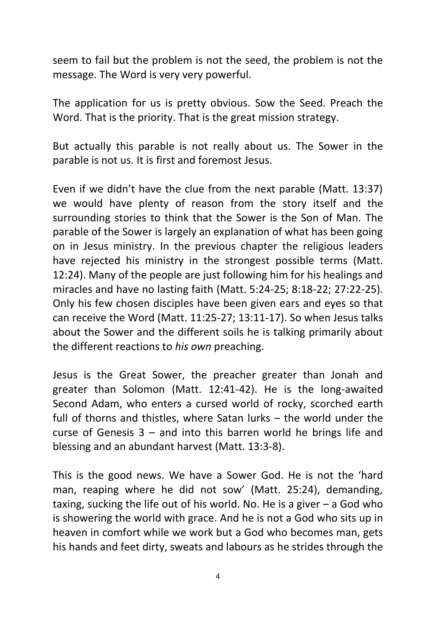seem to fail but the problem is not the seed, the problem is not the message. The Word is very very powerful.

The application for us is pretty obvious. Sow the Seed. Preach the Word. That is the priority. That is the great mission strategy.

But actually this parable is not really about us. The Sower in the parable is not us. It is first and foremost Jesus.

Even if we didn't have the clue from the next parable (Matt. 13:37) we would have plenty of reason from the story itself and the surrounding stories to think that the Sower is the Son of Man. The parable of the Sower is largely an explanation of what has been going on in Jesus ministry. In the previous chapter the religious leaders have rejected his ministry in the strongest possible terms (Matt. 12:24). Many of the people are just following him for his healings and miracles and have no lasting faith (Matt. 5:24-25; 8:18-22; 27:22-25). Only his few chosen disciples have been given ears and eyes so that can receive the Word (Matt. 11:25-27; 13:11-17). So when Jesus talks about the Sower and the different soils he is talking primarily about the different reactions to *his own* preaching.

Jesus is the Great Sower, the preacher greater than Jonah and greater than Solomon (Matt. 12:41-42). He is the long-awaited Second Adam, who enters a cursed world of rocky, scorched earth full of thorns and thistles, where Satan lurks – the world under the curse of Genesis 3 – and into this barren world he brings life and blessing and an abundant harvest (Matt. 13:3-8).

This is the good news. We have a Sower God. He is not the 'hard man, reaping where he did not sow' (Matt. 25:24), demanding, taxing, sucking the life out of his world. No. He is a giver – a God who is showering the world with grace. And he is not a God who sits up in heaven in comfort while we work but a God who becomes man, gets his hands and feet dirty, sweats and labours as he strides through the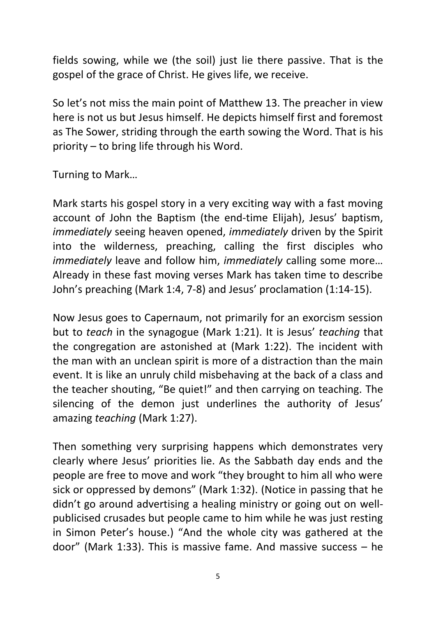fields sowing, while we (the soil) just lie there passive. That is the gospel of the grace of Christ. He gives life, we receive.

So let's not miss the main point of Matthew 13. The preacher in view here is not us but Jesus himself. He depicts himself first and foremost as The Sower, striding through the earth sowing the Word. That is his priority – to bring life through his Word.

Turning to Mark…

Mark starts his gospel story in a very exciting way with a fast moving account of John the Baptism (the end-time Elijah), Jesus' baptism, *immediately* seeing heaven opened, *immediately* driven by the Spirit into the wilderness, preaching, calling the first disciples who *immediately* leave and follow him, *immediately* calling some more… Already in these fast moving verses Mark has taken time to describe John's preaching (Mark 1:4, 7-8) and Jesus' proclamation (1:14-15).

Now Jesus goes to Capernaum, not primarily for an exorcism session but to *teach* in the synagogue (Mark 1:21). It is Jesus' *teaching* that the congregation are astonished at (Mark 1:22). The incident with the man with an unclean spirit is more of a distraction than the main event. It is like an unruly child misbehaving at the back of a class and the teacher shouting, "Be quiet!" and then carrying on teaching. The silencing of the demon just underlines the authority of Jesus' amazing *teaching* (Mark 1:27).

Then something very surprising happens which demonstrates very clearly where Jesus' priorities lie. As the Sabbath day ends and the people are free to move and work "they brought to him all who were sick or oppressed by demons" (Mark 1:32). (Notice in passing that he didn't go around advertising a healing ministry or going out on wellpublicised crusades but people came to him while he was just resting in Simon Peter's house.) "And the whole city was gathered at the door" (Mark 1:33). This is massive fame. And massive success – he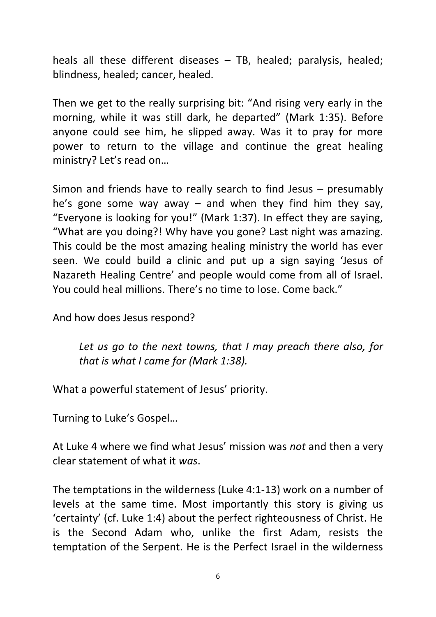heals all these different diseases – TB, healed; paralysis, healed; blindness, healed; cancer, healed.

Then we get to the really surprising bit: "And rising very early in the morning, while it was still dark, he departed" (Mark 1:35). Before anyone could see him, he slipped away. Was it to pray for more power to return to the village and continue the great healing ministry? Let's read on…

Simon and friends have to really search to find Jesus – presumably he's gone some way away  $-$  and when they find him they say, "Everyone is looking for you!" (Mark 1:37). In effect they are saying, "What are you doing?! Why have you gone? Last night was amazing. This could be the most amazing healing ministry the world has ever seen. We could build a clinic and put up a sign saying 'Jesus of Nazareth Healing Centre' and people would come from all of Israel. You could heal millions. There's no time to lose. Come back."

And how does Jesus respond?

*Let us go to the next towns, that I may preach there also, for that is what I came for (Mark 1:38).* 

What a powerful statement of Jesus' priority.

Turning to Luke's Gospel…

At Luke 4 where we find what Jesus' mission was *not* and then a very clear statement of what it *was*.

The temptations in the wilderness (Luke 4:1-13) work on a number of levels at the same time. Most importantly this story is giving us 'certainty' (cf. Luke 1:4) about the perfect righteousness of Christ. He is the Second Adam who, unlike the first Adam, resists the temptation of the Serpent. He is the Perfect Israel in the wilderness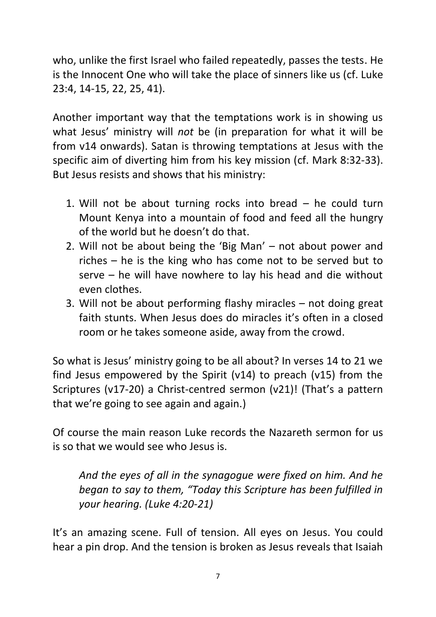who, unlike the first Israel who failed repeatedly, passes the tests. He is the Innocent One who will take the place of sinners like us (cf. Luke 23:4, 14-15, 22, 25, 41).

Another important way that the temptations work is in showing us what Jesus' ministry will *not* be (in preparation for what it will be from v14 onwards). Satan is throwing temptations at Jesus with the specific aim of diverting him from his key mission (cf. Mark 8:32-33). But Jesus resists and shows that his ministry:

- 1. Will not be about turning rocks into bread he could turn Mount Kenya into a mountain of food and feed all the hungry of the world but he doesn't do that.
- 2. Will not be about being the 'Big Man' not about power and riches – he is the king who has come not to be served but to serve – he will have nowhere to lay his head and die without even clothes.
- 3. Will not be about performing flashy miracles not doing great faith stunts. When Jesus does do miracles it's often in a closed room or he takes someone aside, away from the crowd.

So what is Jesus' ministry going to be all about? In verses 14 to 21 we find Jesus empowered by the Spirit (v14) to preach (v15) from the Scriptures (v17-20) a Christ-centred sermon (v21)! (That's a pattern that we're going to see again and again.)

Of course the main reason Luke records the Nazareth sermon for us is so that we would see who Jesus is.

*And the eyes of all in the synagogue were fixed on him. And he began to say to them, "Today this Scripture has been fulfilled in your hearing. (Luke 4:20-21)*

It's an amazing scene. Full of tension. All eyes on Jesus. You could hear a pin drop. And the tension is broken as Jesus reveals that Isaiah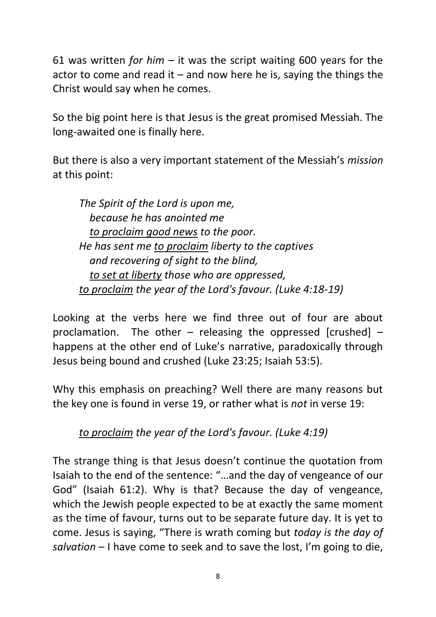61 was written *for him* – it was the script waiting 600 years for the actor to come and read it  $-$  and now here he is, saying the things the Christ would say when he comes.

So the big point here is that Jesus is the great promised Messiah. The long-awaited one is finally here.

But there is also a very important statement of the Messiah's *mission* at this point:

*The Spirit of the Lord is upon me, because he has anointed me to proclaim good news to the poor. He has sent me to proclaim liberty to the captives and recovering of sight to the blind, to set at liberty those who are oppressed, to proclaim the year of the Lord's favour. (Luke 4:18-19)*

Looking at the verbs here we find three out of four are about proclamation. The other – releasing the oppressed [crushed] – happens at the other end of Luke's narrative, paradoxically through Jesus being bound and crushed (Luke 23:25; Isaiah 53:5).

Why this emphasis on preaching? Well there are many reasons but the key one is found in verse 19, or rather what is *not* in verse 19:

*to proclaim the year of the Lord's favour. (Luke 4:19)*

The strange thing is that Jesus doesn't continue the quotation from Isaiah to the end of the sentence: "…and the day of vengeance of our God" (Isaiah 61:2). Why is that? Because the day of vengeance, which the Jewish people expected to be at exactly the same moment as the time of favour, turns out to be separate future day. It is yet to come. Jesus is saying, "There is wrath coming but *today is the day of salvation* – I have come to seek and to save the lost, I'm going to die,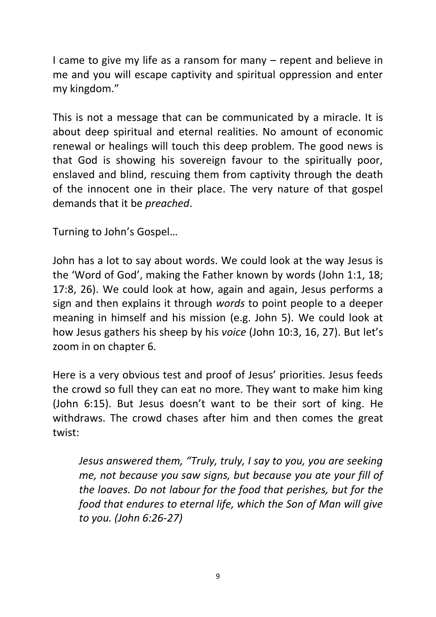I came to give my life as a ransom for many – repent and believe in me and you will escape captivity and spiritual oppression and enter my kingdom."

This is not a message that can be communicated by a miracle. It is about deep spiritual and eternal realities. No amount of economic renewal or healings will touch this deep problem. The good news is that God is showing his sovereign favour to the spiritually poor, enslaved and blind, rescuing them from captivity through the death of the innocent one in their place. The very nature of that gospel demands that it be *preached*.

Turning to John's Gospel…

John has a lot to say about words. We could look at the way Jesus is the 'Word of God', making the Father known by words (John 1:1, 18; 17:8, 26). We could look at how, again and again, Jesus performs a sign and then explains it through *words* to point people to a deeper meaning in himself and his mission (e.g. John 5). We could look at how Jesus gathers his sheep by his *voice* (John 10:3, 16, 27). But let's zoom in on chapter 6.

Here is a very obvious test and proof of Jesus' priorities. Jesus feeds the crowd so full they can eat no more. They want to make him king (John 6:15). But Jesus doesn't want to be their sort of king. He withdraws. The crowd chases after him and then comes the great twist:

*Jesus answered them, "Truly, truly, I say to you, you are seeking me, not because you saw signs, but because you ate your fill of the loaves. Do not labour for the food that perishes, but for the food that endures to eternal life, which the Son of Man will give to you. (John 6:26-27)*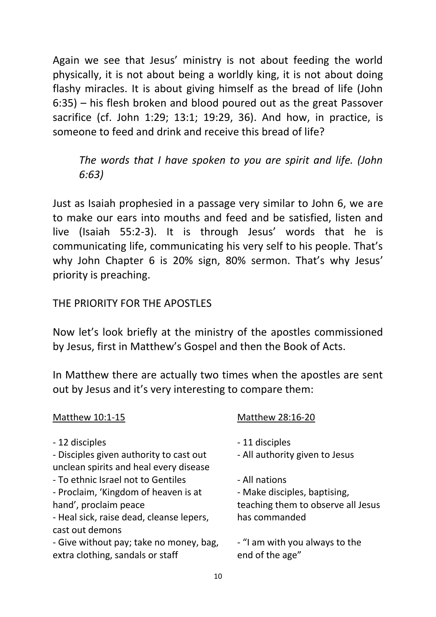Again we see that Jesus' ministry is not about feeding the world physically, it is not about being a worldly king, it is not about doing flashy miracles. It is about giving himself as the bread of life (John 6:35) – his flesh broken and blood poured out as the great Passover sacrifice (cf. John 1:29; 13:1; 19:29, 36). And how, in practice, is someone to feed and drink and receive this bread of life?

*The words that I have spoken to you are spirit and life. (John 6:63)*

Just as Isaiah prophesied in a passage very similar to John 6, we are to make our ears into mouths and feed and be satisfied, listen and live (Isaiah 55:2-3). It is through Jesus' words that he is communicating life, communicating his very self to his people. That's why John Chapter 6 is 20% sign, 80% sermon. That's why Jesus' priority is preaching.

## THE PRIORITY FOR THE APOSTLES

Now let's look briefly at the ministry of the apostles commissioned by Jesus, first in Matthew's Gospel and then the Book of Acts.

In Matthew there are actually two times when the apostles are sent out by Jesus and it's very interesting to compare them:

| Matthew 28:16-20                                  |
|---------------------------------------------------|
| - 11 disciples                                    |
| - All authority given to Jesus                    |
| - All nations                                     |
| - Make disciples, baptising,                      |
| teaching them to observe all Jesus                |
| has commanded                                     |
| - "I am with you always to the<br>end of the age" |
|                                                   |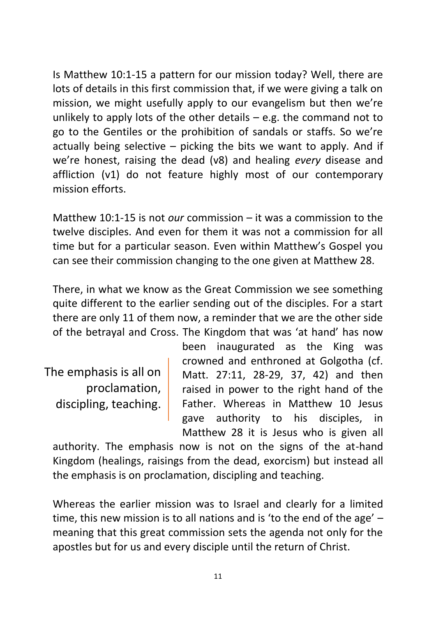Is Matthew 10:1-15 a pattern for our mission today? Well, there are lots of details in this first commission that, if we were giving a talk on mission, we might usefully apply to our evangelism but then we're unlikely to apply lots of the other details  $-$  e.g. the command not to go to the Gentiles or the prohibition of sandals or staffs. So we're actually being selective  $-$  picking the bits we want to apply. And if we're honest, raising the dead (v8) and healing *every* disease and affliction (v1) do not feature highly most of our contemporary mission efforts.

Matthew 10:1-15 is not *our* commission – it was a commission to the twelve disciples. And even for them it was not a commission for all time but for a particular season. Even within Matthew's Gospel you can see their commission changing to the one given at Matthew 28.

There, in what we know as the Great Commission we see something quite different to the earlier sending out of the disciples. For a start there are only 11 of them now, a reminder that we are the other side of the betrayal and Cross. The Kingdom that was 'at hand' has now

The emphasis is all on proclamation, discipling, teaching.

been inaugurated as the King was crowned and enthroned at Golgotha (cf. Matt. 27:11, 28-29, 37, 42) and then raised in power to the right hand of the Father. Whereas in Matthew 10 Jesus gave authority to his disciples, in Matthew 28 it is Jesus who is given all

authority. The emphasis now is not on the signs of the at-hand Kingdom (healings, raisings from the dead, exorcism) but instead all the emphasis is on proclamation, discipling and teaching.

Whereas the earlier mission was to Israel and clearly for a limited time, this new mission is to all nations and is 'to the end of the age' – meaning that this great commission sets the agenda not only for the apostles but for us and every disciple until the return of Christ.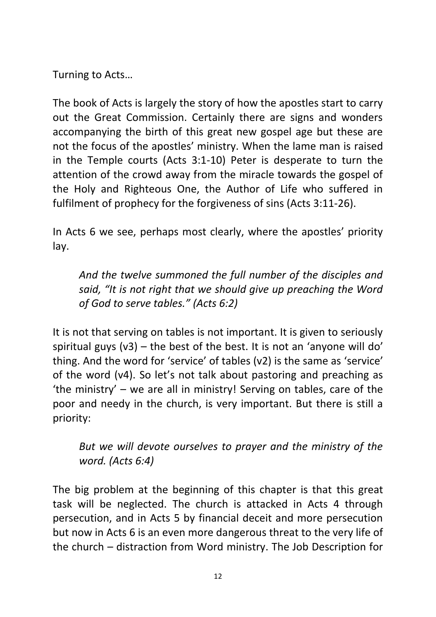Turning to Acts…

The book of Acts is largely the story of how the apostles start to carry out the Great Commission. Certainly there are signs and wonders accompanying the birth of this great new gospel age but these are not the focus of the apostles' ministry. When the lame man is raised in the Temple courts (Acts 3:1-10) Peter is desperate to turn the attention of the crowd away from the miracle towards the gospel of the Holy and Righteous One, the Author of Life who suffered in fulfilment of prophecy for the forgiveness of sins (Acts 3:11-26).

In Acts 6 we see, perhaps most clearly, where the apostles' priority lay.

*And the twelve summoned the full number of the disciples and said, "It is not right that we should give up preaching the Word of God to serve tables." (Acts 6:2)*

It is not that serving on tables is not important. It is given to seriously spiritual guys  $(v3)$  – the best of the best. It is not an 'anyone will do' thing. And the word for 'service' of tables (v2) is the same as 'service' of the word (v4). So let's not talk about pastoring and preaching as 'the ministry' – we are all in ministry! Serving on tables, care of the poor and needy in the church, is very important. But there is still a priority:

*But we will devote ourselves to prayer and the ministry of the word. (Acts 6:4)*

The big problem at the beginning of this chapter is that this great task will be neglected. The church is attacked in Acts 4 through persecution, and in Acts 5 by financial deceit and more persecution but now in Acts 6 is an even more dangerous threat to the very life of the church – distraction from Word ministry. The Job Description for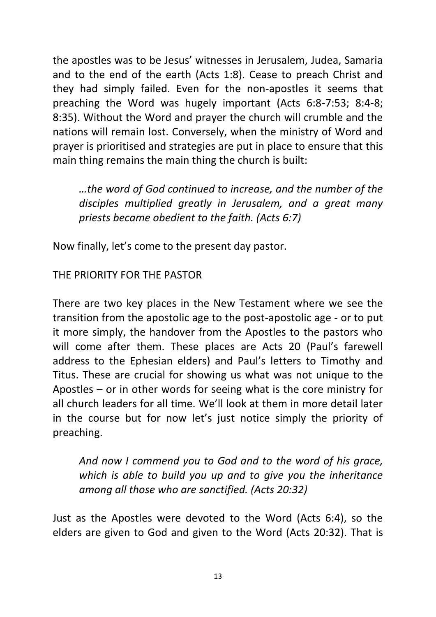the apostles was to be Jesus' witnesses in Jerusalem, Judea, Samaria and to the end of the earth (Acts 1:8). Cease to preach Christ and they had simply failed. Even for the non-apostles it seems that preaching the Word was hugely important (Acts 6:8-7:53; 8:4-8; 8:35). Without the Word and prayer the church will crumble and the nations will remain lost. Conversely, when the ministry of Word and prayer is prioritised and strategies are put in place to ensure that this main thing remains the main thing the church is built:

*…the word of God continued to increase, and the number of the disciples multiplied greatly in Jerusalem, and a great many priests became obedient to the faith. (Acts 6:7)*

Now finally, let's come to the present day pastor.

## THE PRIORITY FOR THE PASTOR

There are two key places in the New Testament where we see the transition from the apostolic age to the post-apostolic age - or to put it more simply, the handover from the Apostles to the pastors who will come after them. These places are Acts 20 (Paul's farewell address to the Ephesian elders) and Paul's letters to Timothy and Titus. These are crucial for showing us what was not unique to the Apostles – or in other words for seeing what is the core ministry for all church leaders for all time. We'll look at them in more detail later in the course but for now let's just notice simply the priority of preaching.

*And now I commend you to God and to the word of his grace, which is able to build you up and to give you the inheritance among all those who are sanctified. (Acts 20:32)*

Just as the Apostles were devoted to the Word (Acts 6:4), so the elders are given to God and given to the Word (Acts 20:32). That is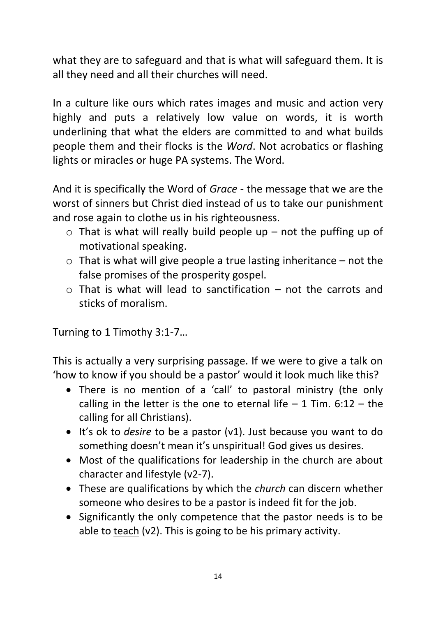what they are to safeguard and that is what will safeguard them. It is all they need and all their churches will need.

In a culture like ours which rates images and music and action very highly and puts a relatively low value on words, it is worth underlining that what the elders are committed to and what builds people them and their flocks is the *Word*. Not acrobatics or flashing lights or miracles or huge PA systems. The Word.

And it is specifically the Word of *Grace* - the message that we are the worst of sinners but Christ died instead of us to take our punishment and rose again to clothe us in his righteousness.

- $\circ$  That is what will really build people up not the puffing up of motivational speaking.
- $\circ$  That is what will give people a true lasting inheritance not the false promises of the prosperity gospel.
- $\circ$  That is what will lead to sanctification not the carrots and sticks of moralism.

Turning to 1 Timothy 3:1-7…

This is actually a very surprising passage. If we were to give a talk on 'how to know if you should be a pastor' would it look much like this?

- There is no mention of a 'call' to pastoral ministry (the only calling in the letter is the one to eternal life  $-1$  Tim. 6:12  $-$  the calling for all Christians).
- It's ok to *desire* to be a pastor (v1). Just because you want to do something doesn't mean it's unspiritual! God gives us desires.
- Most of the qualifications for leadership in the church are about character and lifestyle (v2-7).
- These are qualifications by which the *church* can discern whether someone who desires to be a pastor is indeed fit for the job.
- Significantly the only competence that the pastor needs is to be able to  $teach (v2)$ . This is going to be his primary activity.</u>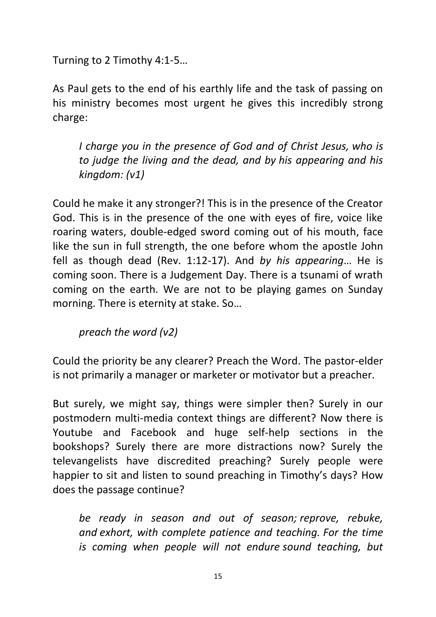Turning to 2 Timothy 4:1-5…

As Paul gets to the end of his earthly life and the task of passing on his ministry becomes most urgent he gives this incredibly strong charge:

*I charge you in the presence of God and of Christ Jesus, who is to judge the living and the dead, and by his appearing and his kingdom: (v1)*

Could he make it any stronger?! This is in the presence of the Creator God. This is in the presence of the one with eyes of fire, voice like roaring waters, double-edged sword coming out of his mouth, face like the sun in full strength, the one before whom the apostle John fell as though dead (Rev. 1:12-17). And *by his appearing*… He is coming soon. There is a Judgement Day. There is a tsunami of wrath coming on the earth. We are not to be playing games on Sunday morning. There is eternity at stake. So…

*preach the word (v2)*

Could the priority be any clearer? Preach the Word. The pastor-elder is not primarily a manager or marketer or motivator but a preacher.

But surely, we might say, things were simpler then? Surely in our postmodern multi-media context things are different? Now there is Youtube and Facebook and huge self-help sections in the bookshops? Surely there are more distractions now? Surely the televangelists have discredited preaching? Surely people were happier to sit and listen to sound preaching in Timothy's days? How does the passage continue?

*be ready in season and out of season; reprove, rebuke, and exhort, with complete patience and teaching. For the time is coming when people will not endure sound teaching, but*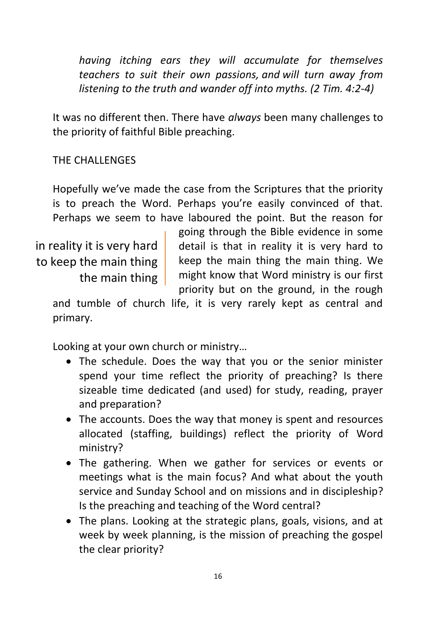*having itching ears they will accumulate for themselves teachers to suit their own passions, and will turn away from listening to the truth and wander off into myths. (2 Tim. 4:2-4)*

It was no different then. There have *always* been many challenges to the priority of faithful Bible preaching.

THE CHALLENGES

Hopefully we've made the case from the Scriptures that the priority is to preach the Word. Perhaps you're easily convinced of that. Perhaps we seem to have laboured the point. But the reason for

in reality it is very hard to keep the main thing the main thing going through the Bible evidence in some detail is that in reality it is very hard to keep the main thing the main thing. We might know that Word ministry is our first priority but on the ground, in the rough

and tumble of church life, it is very rarely kept as central and primary.

Looking at your own church or ministry…

- The schedule. Does the way that you or the senior minister spend your time reflect the priority of preaching? Is there sizeable time dedicated (and used) for study, reading, prayer and preparation?
- The accounts. Does the way that money is spent and resources allocated (staffing, buildings) reflect the priority of Word ministry?
- The gathering. When we gather for services or events or meetings what is the main focus? And what about the youth service and Sunday School and on missions and in discipleship? Is the preaching and teaching of the Word central?
- The plans. Looking at the strategic plans, goals, visions, and at week by week planning, is the mission of preaching the gospel the clear priority?